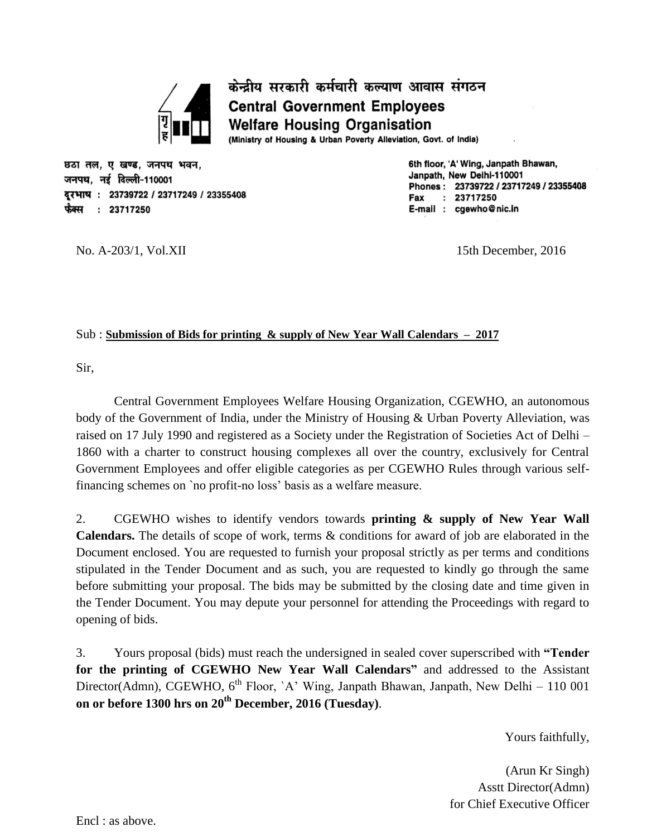

केन्द्रीय सरकारी कर्मचारी कल्याण आवास संगठन **Central Government Employees Welfare Housing Organisation** (Ministry of Housing & Urban Poverty Alleviation, Govt. of India)

छठा तल, ए खण्ड, जनपथ भवन, जनपथ, नई दिल्ली-110001 दरभाष: 23739722 / 23717249 / 23355408 फैक्स : 23717250

6th floor, 'A' Wing, Janpath Bhawan, Janpath, New Delhi-110001 Phones: 23739722 / 23717249 / 23355408 Fax  $: 23717250$ E-mail : cgewho@nic.in

No. A-203/1, Vol.XII 15th December, 2016

## Sub : **Submission of Bids for printing & supply of New Year Wall Calendars – 2017**

Sir,

Central Government Employees Welfare Housing Organization, CGEWHO, an autonomous body of the Government of India, under the Ministry of Housing & Urban Poverty Alleviation, was raised on 17 July 1990 and registered as a Society under the Registration of Societies Act of Delhi – 1860 with a charter to construct housing complexes all over the country, exclusively for Central Government Employees and offer eligible categories as per CGEWHO Rules through various selffinancing schemes on `no profit-no loss' basis as a welfare measure.

2. CGEWHO wishes to identify vendors towards **printing & supply of New Year Wall Calendars.** The details of scope of work, terms & conditions for award of job are elaborated in the Document enclosed. You are requested to furnish your proposal strictly as per terms and conditions stipulated in the Tender Document and as such, you are requested to kindly go through the same before submitting your proposal. The bids may be submitted by the closing date and time given in the Tender Document. You may depute your personnel for attending the Proceedings with regard to opening of bids.

3. Yours proposal (bids) must reach the undersigned in sealed cover superscribed with **"Tender for the printing of CGEWHO New Year Wall Calendars"** and addressed to the Assistant Director(Admn), CGEWHO,  $6<sup>th</sup>$  Floor, `A' Wing, Janpath Bhawan, Janpath, New Delhi – 110 001 **on or before 1300 hrs on 20th December, 2016 (Tuesday)**.

Yours faithfully,

(Arun Kr Singh) Asstt Director(Admn) for Chief Executive Officer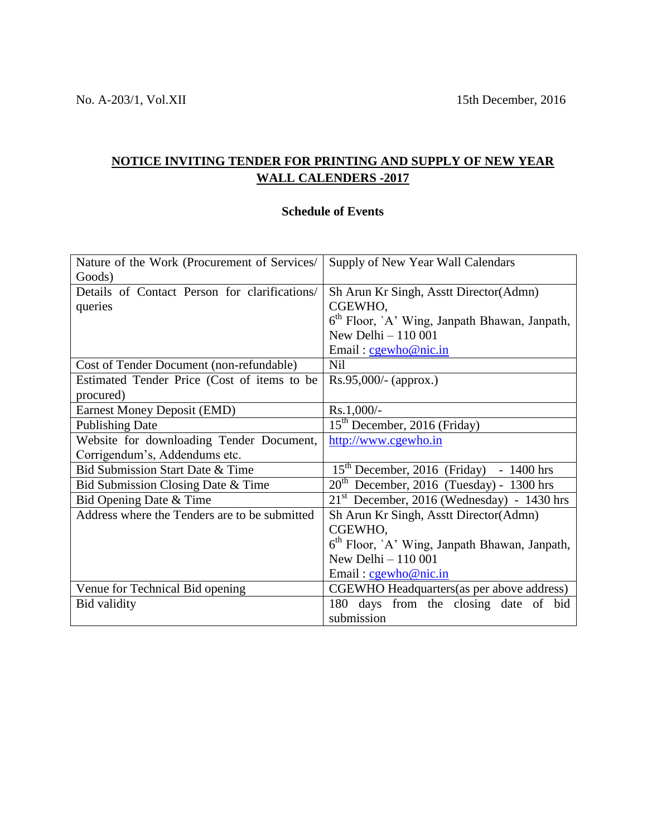# **NOTICE INVITING TENDER FOR PRINTING AND SUPPLY OF NEW YEAR WALL CALENDERS -2017**

# **Schedule of Events**

| Nature of the Work (Procurement of Services/  | Supply of New Year Wall Calendars                         |  |  |  |
|-----------------------------------------------|-----------------------------------------------------------|--|--|--|
| Goods)                                        |                                                           |  |  |  |
| Details of Contact Person for clarifications/ | Sh Arun Kr Singh, Asstt Director (Admn)                   |  |  |  |
| queries                                       | CGEWHO,                                                   |  |  |  |
|                                               | 6 <sup>th</sup> Floor, `A' Wing, Janpath Bhawan, Janpath, |  |  |  |
|                                               | New Delhi - 110 001                                       |  |  |  |
|                                               | Email: cgewho@nic.in                                      |  |  |  |
| Cost of Tender Document (non-refundable)      | <b>Nil</b>                                                |  |  |  |
| Estimated Tender Price (Cost of items to be   | $Rs.95,000/-(approx.)$                                    |  |  |  |
| procured)                                     |                                                           |  |  |  |
| <b>Earnest Money Deposit (EMD)</b>            | Rs.1,000/-                                                |  |  |  |
| <b>Publishing Date</b>                        | 15 <sup>th</sup> December, 2016 (Friday)                  |  |  |  |
| Website for downloading Tender Document,      | http://www.cgewho.in                                      |  |  |  |
| Corrigendum's, Addendums etc.                 |                                                           |  |  |  |
| Bid Submission Start Date & Time              | $15th$ December, 2016 (Friday) - 1400 hrs                 |  |  |  |
| Bid Submission Closing Date & Time            | $20th$ December, 2016 (Tuesday) - 1300 hrs                |  |  |  |
| Bid Opening Date & Time                       | $21st$ December, 2016 (Wednesday) - 1430 hrs              |  |  |  |
| Address where the Tenders are to be submitted | Sh Arun Kr Singh, Asstt Director (Admn)                   |  |  |  |
|                                               | CGEWHO,                                                   |  |  |  |
|                                               | 6 <sup>th</sup> Floor, `A` Wing, Janpath Bhawan, Janpath, |  |  |  |
|                                               | New Delhi - 110 001                                       |  |  |  |
|                                               | Email: cgewho@nic.in                                      |  |  |  |
| Venue for Technical Bid opening               | CGEWHO Headquarters (as per above address)                |  |  |  |
| Bid validity                                  | days from the closing date of bid<br>180                  |  |  |  |
|                                               | submission                                                |  |  |  |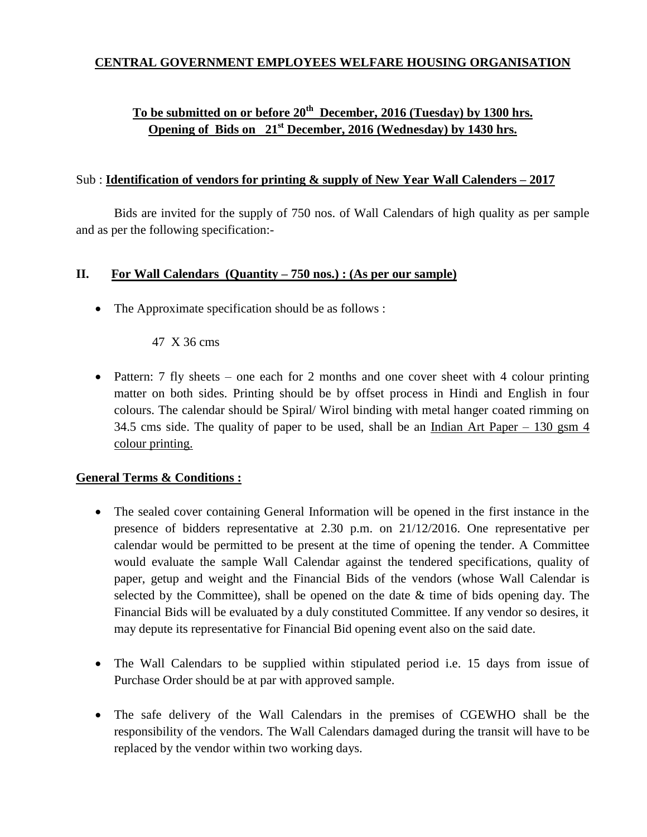## **CENTRAL GOVERNMENT EMPLOYEES WELFARE HOUSING ORGANISATION**

# **To be submitted on or before 20th December, 2016 (Tuesday) by 1300 hrs. Opening of Bids on 21st December, 2016 (Wednesday) by 1430 hrs.**

### Sub : **Identification of vendors for printing & supply of New Year Wall Calenders – 2017**

Bids are invited for the supply of 750 nos. of Wall Calendars of high quality as per sample and as per the following specification:-

## **II. For Wall Calendars (Quantity – 750 nos.) : (As per our sample)**

• The Approximate specification should be as follows :

### 47 X 36 cms

• Pattern: 7 fly sheets – one each for 2 months and one cover sheet with 4 colour printing matter on both sides. Printing should be by offset process in Hindi and English in four colours. The calendar should be Spiral/ Wirol binding with metal hanger coated rimming on 34.5 cms side. The quality of paper to be used, shall be an Indian Art Paper – 130 gsm 4 colour printing.

#### **General Terms & Conditions :**

- The sealed cover containing General Information will be opened in the first instance in the presence of bidders representative at 2.30 p.m. on 21/12/2016. One representative per calendar would be permitted to be present at the time of opening the tender. A Committee would evaluate the sample Wall Calendar against the tendered specifications, quality of paper, getup and weight and the Financial Bids of the vendors (whose Wall Calendar is selected by the Committee), shall be opened on the date  $\&$  time of bids opening day. The Financial Bids will be evaluated by a duly constituted Committee. If any vendor so desires, it may depute its representative for Financial Bid opening event also on the said date.
- The Wall Calendars to be supplied within stipulated period i.e. 15 days from issue of Purchase Order should be at par with approved sample.
- The safe delivery of the Wall Calendars in the premises of CGEWHO shall be the responsibility of the vendors. The Wall Calendars damaged during the transit will have to be replaced by the vendor within two working days.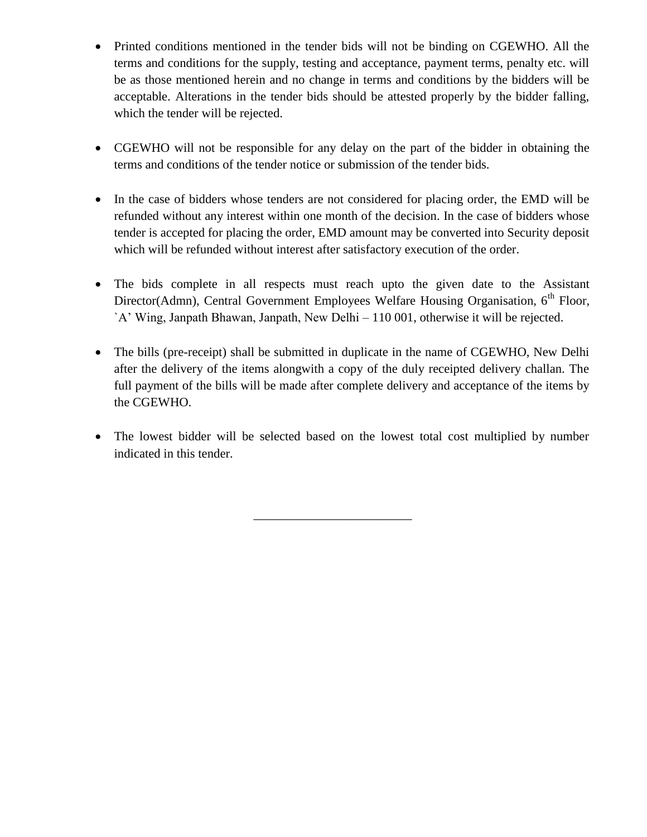- Printed conditions mentioned in the tender bids will not be binding on CGEWHO. All the terms and conditions for the supply, testing and acceptance, payment terms, penalty etc. will be as those mentioned herein and no change in terms and conditions by the bidders will be acceptable. Alterations in the tender bids should be attested properly by the bidder falling, which the tender will be rejected.
- CGEWHO will not be responsible for any delay on the part of the bidder in obtaining the terms and conditions of the tender notice or submission of the tender bids.
- In the case of bidders whose tenders are not considered for placing order, the EMD will be refunded without any interest within one month of the decision. In the case of bidders whose tender is accepted for placing the order, EMD amount may be converted into Security deposit which will be refunded without interest after satisfactory execution of the order.
- The bids complete in all respects must reach upto the given date to the Assistant Director(Admn), Central Government Employees Welfare Housing Organisation, 6<sup>th</sup> Floor, `A' Wing, Janpath Bhawan, Janpath, New Delhi – 110 001, otherwise it will be rejected.
- The bills (pre-receipt) shall be submitted in duplicate in the name of CGEWHO, New Delhi after the delivery of the items alongwith a copy of the duly receipted delivery challan. The full payment of the bills will be made after complete delivery and acceptance of the items by the CGEWHO.
- The lowest bidder will be selected based on the lowest total cost multiplied by number indicated in this tender.

\_\_\_\_\_\_\_\_\_\_\_\_\_\_\_\_\_\_\_\_\_\_\_\_\_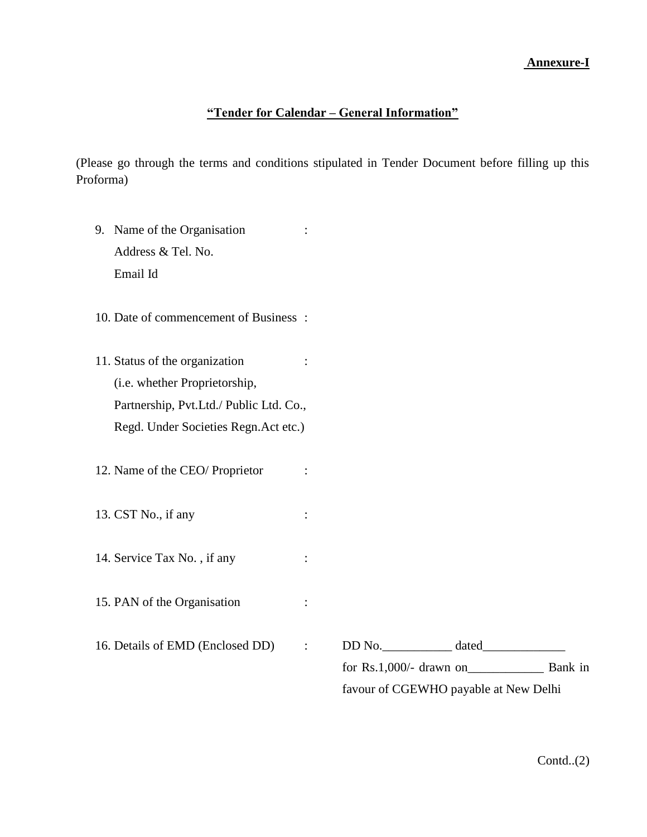### **Annexure-I**

## **"Tender for Calendar – General Information"**

(Please go through the terms and conditions stipulated in Tender Document before filling up this Proforma)

- 9. Name of the Organisation : Address & Tel. No. Email Id
- 10. Date of commencement of Business :
- 11. Status of the organization : (i.e. whether Proprietorship, Partnership, Pvt.Ltd./ Public Ltd. Co., Regd. Under Societies Regn.Act etc.)
- 12. Name of the CEO/ Proprietor :
- 13. CST No., if any :
- 14. Service Tax No., if any :
- 15. PAN of the Organisation :
- 

16. Details of EMD (Enclosed DD) : DD No. \_\_\_\_\_\_\_\_\_\_\_\_ dated\_\_\_\_\_\_\_\_\_\_\_\_\_\_\_\_\_\_\_\_ for Rs.1,000/- drawn on\_\_\_\_\_\_\_\_\_\_\_\_ Bank in favour of CGEWHO payable at New Delhi

 $Contd..(2)$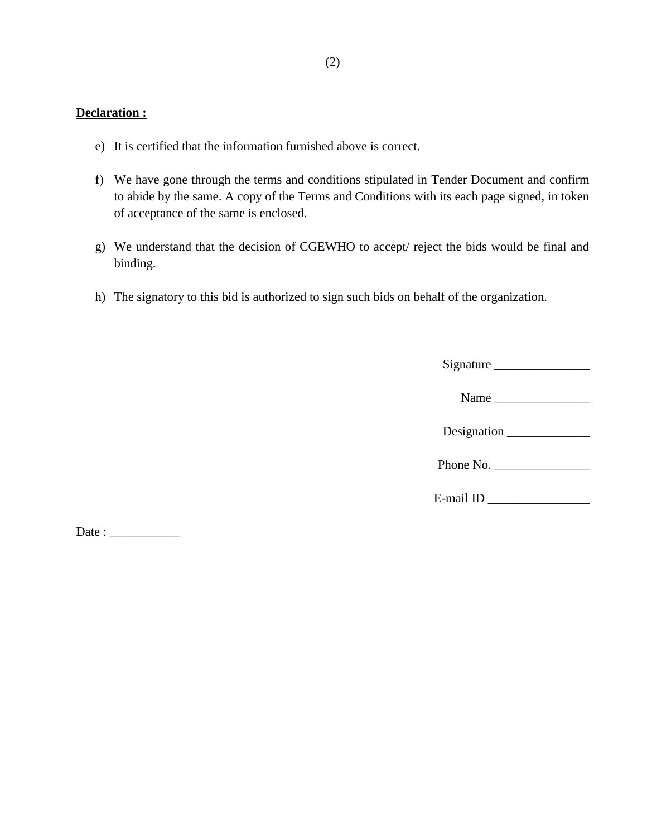## **Declaration :**

- e) It is certified that the information furnished above is correct.
- f) We have gone through the terms and conditions stipulated in Tender Document and confirm to abide by the same. A copy of the Terms and Conditions with its each page signed, in token of acceptance of the same is enclosed.
- g) We understand that the decision of CGEWHO to accept/ reject the bids would be final and binding.
- h) The signatory to this bid is authorized to sign such bids on behalf of the organization.

|                       | Signature   |
|-----------------------|-------------|
|                       |             |
|                       |             |
|                       | Designation |
|                       | Phone No.   |
| $E$ -mail ID $\qquad$ |             |
|                       |             |

 $Date:$